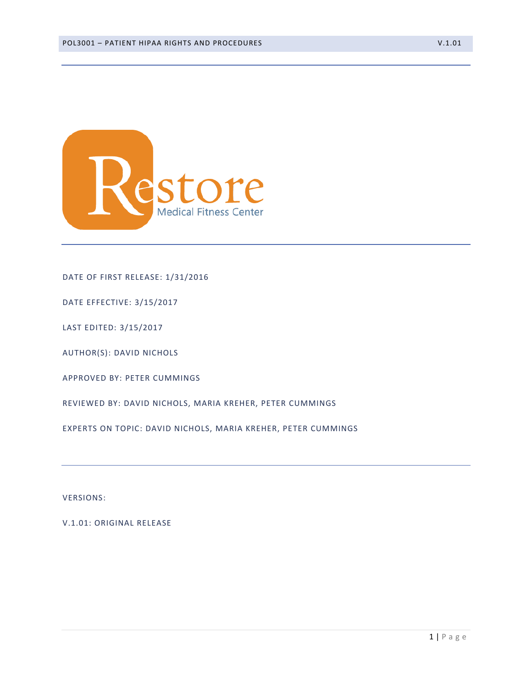

#### DATE OF FIRST RELEASE: 1/31/2016

DATE EFFECTIVE: 3/15/2017

LAST EDITED: 3/15/2017

AUTHOR(S): DAVID NICHOLS

APPROVED BY: PETER CUMMINGS

REVIEWED BY: DAVID NICHOLS, MARIA KREHER, PETER CUMMINGS

EXPERTS ON TOPIC: DAVID NICHOLS, MARIA KREHER, PETER CUMMINGS

VERSIONS:

V.1.01: ORIGINAL RELEASE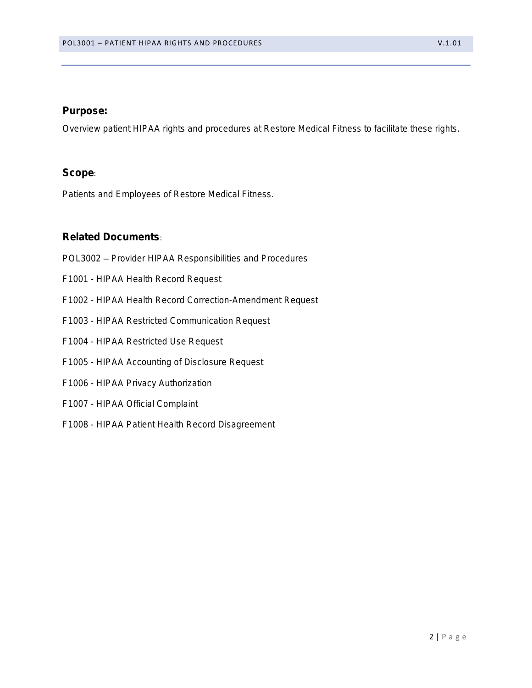### Purpose:

Overview patient HIPAA rights and procedures at Restore Medical Fitness to facilitate these rights.

## Scope:

Patients and Employees of Restore Medical Fitness.

## Related Documents:

- POL3002 Provider HIPAA Responsibilities and Procedures
- F1001 HIPAA Health Record Request
- F1002 HIPAA Health Record Correction-Amendment Request
- F1003 HIPAA Restricted Communication Request
- F1004 HIPAA Restricted Use Request
- F1005 HIPAA Accounting of Disclosure Request
- F1006 HIPAA Privacy Authorization
- F1007 HIPAA Official Complaint
- F1008 HIPAA Patient Health Record Disagreement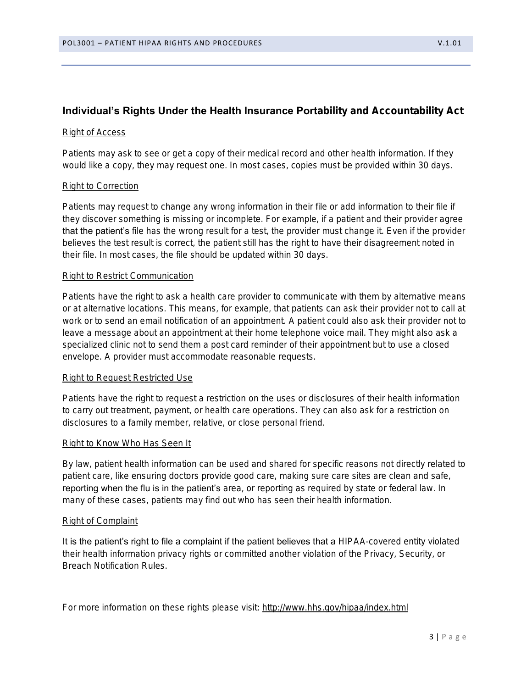# **Individual's Rights Under the Health Insurance Portability and Accountability Act**

#### Right of Access

Patients may ask to see or get a copy of their medical record and other health information. If they would like a copy, they may request one. In most cases, copies must be provided within 30 days.

#### Right to Correction

Patients may request to change any wrong information in their file or add information to their file if they discover something is missing or incomplete. For example, if a patient and their provider agree that the patient's file has the wrong result for a test, the provider must change it. Even if the provider believes the test result is correct, the patient still has the right to have their disagreement noted in their file. In most cases, the file should be updated within 30 days.

#### Right to Restrict Communication

Patients have the right to ask a health care provider to communicate with them by alternative means or at alternative locations. This means, for example, that patients can ask their provider not to call at work or to send an email notification of an appointment. A patient could also ask their provider not to leave a message about an appointment at their home telephone voice mail. They might also ask a specialized clinic not to send them a post card reminder of their appointment but to use a closed envelope. A provider must accommodate reasonable requests.

#### Right to Request Restricted Use

Patients have the right to request a restriction on the uses or disclosures of their health information to carry out treatment, payment, or health care operations. They can also ask for a restriction on disclosures to a family member, relative, or close personal friend.

#### Right to Know Who Has Seen It

By law, patient health information can be used and shared for specific reasons not directly related to patient care, like ensuring doctors provide good care, making sure care sites are clean and safe, reporting when the flu is in the patient's area, or reporting as required by state or federal law. In many of these cases, patients may find out who has seen their health information.

#### Right of Complaint

It is the patient's right to file a complaint if the patient believes that a HIPAA-covered entity violated their health information privacy rights or committed another violation of the Privacy, Security, or Breach Notification Rules.

For more information on these rights please visit:<http://www.hhs.gov/hipaa/index.html>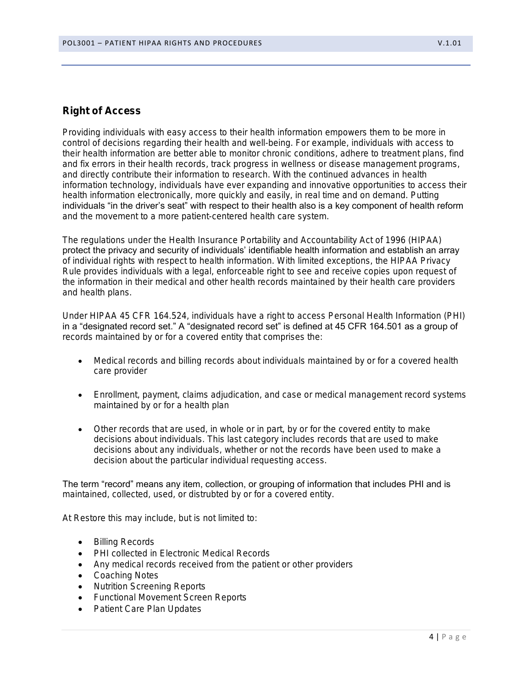## Right of Access

Providing individuals with easy access to their health information empowers them to be more in control of decisions regarding their health and well-being. For example, individuals with access to their health information are better able to monitor chronic conditions, adhere to treatment plans, find and fix errors in their health records, track progress in wellness or disease management programs, and directly contribute their information to research. With the continued advances in health information technology, individuals have ever expanding and innovative opportunities to access their health information electronically, more quickly and easily, in real time and on demand. Putting individuals "in the driver's seat" with respect to their health also is a key component of health reform and the movement to a more patient-centered health care system.

The regulations under the Health Insurance Portability and Accountability Act of 1996 (HIPAA) protect the privacy and security of individuals' identifiable health information and establish an array of individual rights with respect to health information. With limited exceptions, the HIPAA Privacy Rule provides individuals with a legal, enforceable right to see and receive copies upon request of the information in their medical and other health records maintained by their health care providers and health plans.

Under HIPAA 45 CFR 164.524, individuals have a right to access Personal Health Information (PHI) in a "designated record set." A "designated record set" is defined at 45 CFR 164.501 as a group of records maintained by or for a covered entity that comprises the:

- Medical records and billing records about individuals maintained by or for a covered health care provider
- Enrollment, payment, claims adjudication, and case or medical management record systems maintained by or for a health plan
- Other records that are used, in whole or in part, by or for the covered entity to make decisions about individuals. This last category includes records that are used to make decisions about any individuals, whether or not the records have been used to make a decision about the particular individual requesting access.

The term "record" means any item, collection, or grouping of information that includes PHI and is maintained, collected, used, or distrubted by or for a covered entity.

At Restore this may include, but is not limited to:

- Billing Records
- PHI collected in Electronic Medical Records
- Any medical records received from the patient or other providers
- Coaching Notes
- Nutrition Screening Reports
- Functional Movement Screen Reports
- Patient Care Plan Updates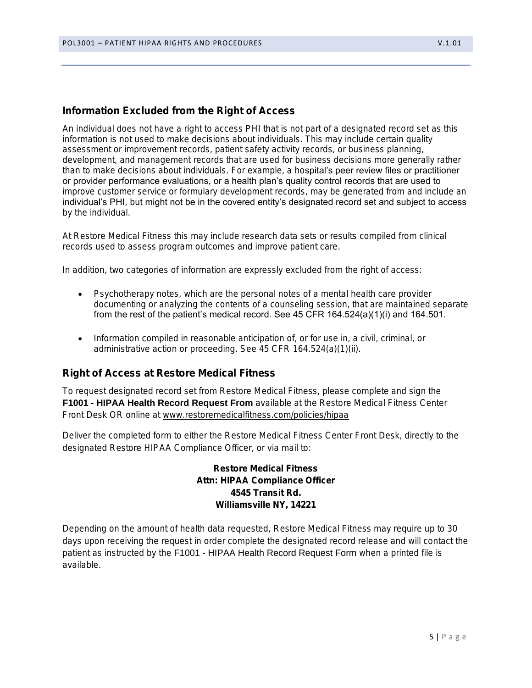# Information Excluded from the Right of Access

An individual does not have a right to access PHI that is not part of a designated record set as this information is not used to make decisions about individuals. This may include certain quality assessment or improvement records, patient safety activity records, or business planning, development, and management records that are used for business decisions more generally rather than to make decisions about individuals. For example, a hospital's peer review files or practitioner or provider performance evaluations, or a health plan's quality control records that are used to improve customer service or formulary development records, may be generated from and include an individual's PHI, but might not be in the covered entity's designated record set and subject to access by the individual.

At Restore Medical Fitness this may include research data sets or results compiled from clinical records used to assess program outcomes and improve patient care.

In addition, two categories of information are expressly excluded from the right of access:

- Psychotherapy notes, which are the personal notes of a mental health care provider documenting or analyzing the contents of a counseling session, that are maintained separate from the rest of the patient's medical record. See 45 CFR 164.524(a)(1)(i) and 164.501.
- Information compiled in reasonable anticipation of, or for use in, a civil, criminal, or administrative action or proceeding. See 45 CFR 164.524(a)(1)(ii).

#### Right of Access at Restore Medical Fitness

To request designated record set from Restore Medical Fitness, please complete and sign the **F1001 - HIPAA Health Record Request From available at the Restore Medical Fitness Center** Front Desk OR online at [www.restoremedicalfitness.com/policies/hipaa](http://www.restoremedicalfitness.com/policies/hipaa)

Deliver the completed form to either the Restore Medical Fitness Center Front Desk, directly to the designated Restore HIPAA Compliance Officer, or via mail to:

> Restore Medical Fitness Attn: HIPAA Compliance Officer 4545 Transit Rd. Williamsville NY, 14221

Depending on the amount of health data requested, Restore Medical Fitness may require up to 30 days upon receiving the request in order complete the designated record release and will contact the patient as instructed by the *F1001 - HIPAA Health Record Request Form* when a printed file is available.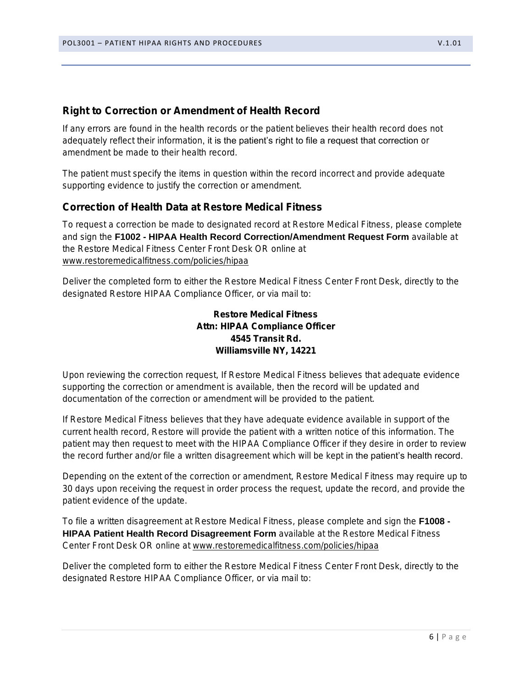## Right to Correction or Amendment of Health Record

If any errors are found in the health records or the patient believes their health record does not adequately reflect their information, it is the patient's right to file a request that correction or amendment be made to their health record.

The patient must specify the items in question within the record incorrect and provide adequate supporting evidence to justify the correction or amendment.

### Correction of Health Data at Restore Medical Fitness

To request a correction be made to designated record at Restore Medical Fitness, please complete and sign the *F1002 - HIPAA Health Record Correction/Amendment Request Form* available at the Restore Medical Fitness Center Front Desk OR online at [www.restoremedicalfitness.com/policies/hipaa](http://www.restoremedicalfitness.com/patientpolicies)

Deliver the completed form to either the Restore Medical Fitness Center Front Desk, directly to the designated Restore HIPAA Compliance Officer, or via mail to:

> Restore Medical Fitness Attn: HIPAA Compliance Officer 4545 Transit Rd. Williamsville NY, 14221

Upon reviewing the correction request, If Restore Medical Fitness believes that adequate evidence supporting the correction or amendment is available, then the record will be updated and documentation of the correction or amendment will be provided to the patient.

If Restore Medical Fitness believes that they have adequate evidence available in support of the current health record, Restore will provide the patient with a written notice of this information. The patient may then request to meet with the HIPAA Compliance Officer if they desire in order to review the record further and/or file a written disagreement which will be kept in the patient's health record.

Depending on the extent of the correction or amendment, Restore Medical Fitness may require up to 30 days upon receiving the request in order process the request, update the record, and provide the patient evidence of the update.

To file a written disagreement at Restore Medical Fitness, please complete and sign the *F1008 - HIPAA Patient Health Record Disagreement Form* available at the Restore Medical Fitness Center Front Desk OR online at [www.restoremedicalfitness.com/policies/hipaa](http://www.restoremedicalfitness.com/patientpolicies)

Deliver the completed form to either the Restore Medical Fitness Center Front Desk, directly to the designated Restore HIPAA Compliance Officer, or via mail to: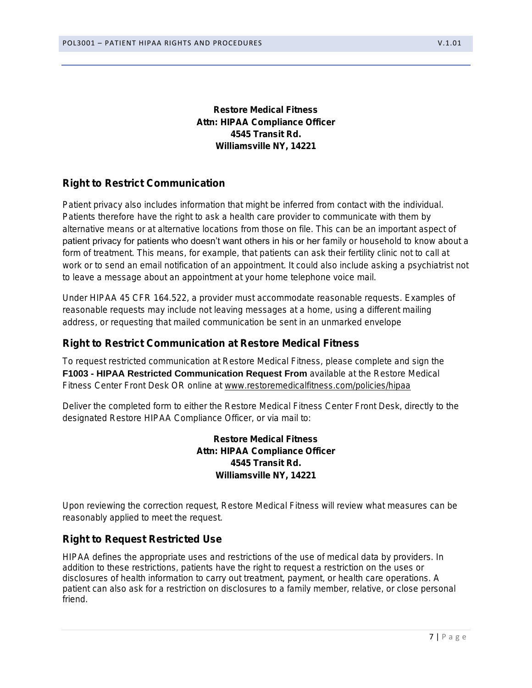Restore Medical Fitness Attn: HIPAA Compliance Officer 4545 Transit Rd. Williamsville NY, 14221

# Right to Restrict Communication

Patient privacy also includes information that might be inferred from contact with the individual. Patients therefore have the right to ask a health care provider to communicate with them by alternative means or at alternative locations from those on file. This can be an important aspect of patient privacy for patients who doesn't want others in his or her family or household to know about a form of treatment. This means, for example, that patients can ask their fertility clinic not to call at work or to send an email notification of an appointment. It could also include asking a psychiatrist not to leave a message about an appointment at your home telephone voice mail.

Under HIPAA 45 CFR 164.522, a provider must accommodate reasonable requests. Examples of reasonable requests may include not leaving messages at a home, using a different mailing address, or requesting that mailed communication be sent in an unmarked envelope

## Right to Restrict Communication at Restore Medical Fitness

To request restricted communication at Restore Medical Fitness, please complete and sign the **F1003 - HIPAA Restricted Communication Request From available at the Restore Medical** Fitness Center Front Desk OR online at [www.restoremedicalfitness.com/policies/hipaa](http://www.restoremedicalfitness.com/policies/hipaa)

Deliver the completed form to either the Restore Medical Fitness Center Front Desk, directly to the designated Restore HIPAA Compliance Officer, or via mail to:

> Restore Medical Fitness Attn: HIPAA Compliance Officer 4545 Transit Rd. Williamsville NY, 14221

Upon reviewing the correction request, Restore Medical Fitness will review what measures can be reasonably applied to meet the request.

# Right to Request Restricted Use

HIPAA defines the appropriate uses and restrictions of the use of medical data by providers. In addition to these restrictions, patients have the right to request a restriction on the uses or disclosures of health information to carry out treatment, payment, or health care operations. A patient can also ask for a restriction on disclosures to a family member, relative, or close personal friend.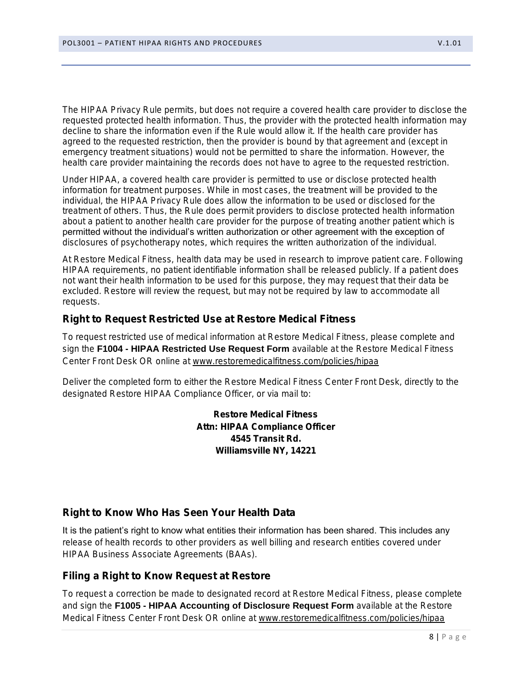The HIPAA Privacy Rule permits, but does not require a covered health care provider to disclose the requested protected health information. Thus, the provider with the protected health information may decline to share the information even if the Rule would allow it. If the health care provider has agreed to the requested restriction, then the provider is bound by that agreement and (except in emergency treatment situations) would not be permitted to share the information. However, the health care provider maintaining the records does not have to agree to the requested restriction.

Under HIPAA, a covered health care provider is permitted to use or disclose protected health information for treatment purposes. While in most cases, the treatment will be provided to the individual, the HIPAA Privacy Rule does allow the information to be used or disclosed for the treatment of others. Thus, the Rule does permit providers to disclose protected health information about a patient to another health care provider for the purpose of treating another patient which is permitted without the individual's written authorization or other agreement with the exception of disclosures of psychotherapy notes, which requires the written authorization of the individual.

At Restore Medical Fitness, health data may be used in research to improve patient care. Following HIPAA requirements, no patient identifiable information shall be released publicly. If a patient does not want their health information to be used for this purpose, they may request that their data be excluded. Restore will review the request, but may not be required by law to accommodate all requests.

Right to Request Restricted Use at Restore Medical Fitness

To request restricted use of medical information at Restore Medical Fitness, please complete and sign the *F1004 - HIPAA Restricted Use Request Form* available at the Restore Medical Fitness Center Front Desk OR online at [www.restoremedicalfitness.com/policies/hipaa](http://www.restoremedicalfitness.com/patientpolicies)

Deliver the completed form to either the Restore Medical Fitness Center Front Desk, directly to the designated Restore HIPAA Compliance Officer, or via mail to:

> Restore Medical Fitness Attn: HIPAA Compliance Officer 4545 Transit Rd. Williamsville NY, 14221

Right to Know Who Has Seen Your Health Data

It is the patient's right to know what entities their information has been shared. This includes any release of health records to other providers as well billing and research entities covered under HIPAA Business Associate Agreements (BAAs).

Filing a Right to Know Request at Restore

To request a correction be made to designated record at Restore Medical Fitness, please complete and sign the *F1005 - HIPAA Accounting of Disclosure Request Form* available at the Restore Medical Fitness Center Front Desk OR online at [www.restoremedicalfitness.com/policies/hipaa](http://www.restoremedicalfitness.com/patientpolicies)